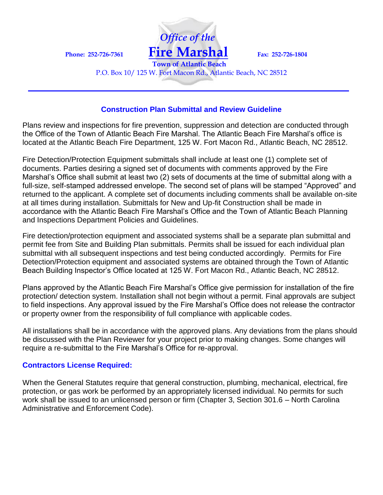

**Town of Atlantic Beach** P.O. Box 10/ 125 W. Fort Macon Rd., Atlantic Beach, NC 28512

#### **Construction Plan Submittal and Review Guideline**

Plans review and inspections for fire prevention, suppression and detection are conducted through the Office of the Town of Atlantic Beach Fire Marshal. The Atlantic Beach Fire Marshal's office is located at the Atlantic Beach Fire Department, 125 W. Fort Macon Rd., Atlantic Beach, NC 28512.

Fire Detection/Protection Equipment submittals shall include at least one (1) complete set of documents. Parties desiring a signed set of documents with comments approved by the Fire Marshal's Office shall submit at least two (2) sets of documents at the time of submittal along with a full-size, self-stamped addressed envelope. The second set of plans will be stamped "Approved" and returned to the applicant. A complete set of documents including comments shall be available on-site at all times during installation. Submittals for New and Up-fit Construction shall be made in accordance with the Atlantic Beach Fire Marshal's Office and the Town of Atlantic Beach Planning and Inspections Department Policies and Guidelines.

Fire detection/protection equipment and associated systems shall be a separate plan submittal and permit fee from Site and Building Plan submittals. Permits shall be issued for each individual plan submittal with all subsequent inspections and test being conducted accordingly. Permits for Fire Detection/Protection equipment and associated systems are obtained through the Town of Atlantic Beach Building Inspector's Office located at 125 W. Fort Macon Rd., Atlantic Beach, NC 28512.

Plans approved by the Atlantic Beach Fire Marshal's Office give permission for installation of the fire protection/ detection system. Installation shall not begin without a permit. Final approvals are subject to field inspections. Any approval issued by the Fire Marshal's Office does not release the contractor or property owner from the responsibility of full compliance with applicable codes.

All installations shall be in accordance with the approved plans. Any deviations from the plans should be discussed with the Plan Reviewer for your project prior to making changes. Some changes will require a re-submittal to the Fire Marshal's Office for re-approval.

### **Contractors License Required:**

When the General Statutes require that general construction, plumbing, mechanical, electrical, fire protection, or gas work be performed by an appropriately licensed individual. No permits for such work shall be issued to an unlicensed person or firm (Chapter 3, Section 301.6 – North Carolina Administrative and Enforcement Code).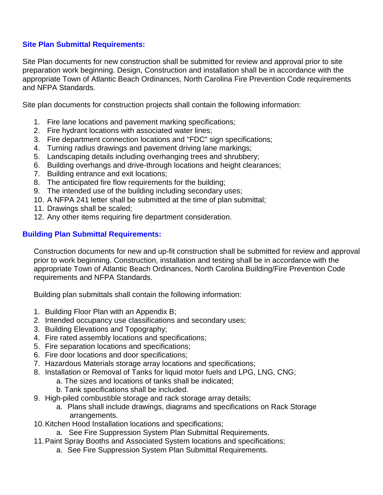### **Site Plan Submittal Requirements:**

Site Plan documents for new construction shall be submitted for review and approval prior to site preparation work beginning. Design, Construction and installation shall be in accordance with the appropriate Town of Atlantic Beach Ordinances, North Carolina Fire Prevention Code requirements and NFPA Standards.

Site plan documents for construction projects shall contain the following information:

- 1. Fire lane locations and pavement marking specifications;
- 2. Fire hydrant locations with associated water lines;
- 3. Fire department connection locations and "FDC" sign specifications;
- 4. Turning radius drawings and pavement driving lane markings;
- 5. Landscaping details including overhanging trees and shrubbery;
- 6. Building overhangs and drive-through locations and height clearances;
- 7. Building entrance and exit locations;
- 8. The anticipated fire flow requirements for the building;
- 9. The intended use of the building including secondary uses;
- 10. A NFPA 241 letter shall be submitted at the time of plan submittal;
- 11. Drawings shall be scaled;
- 12. Any other items requiring fire department consideration.

### **Building Plan Submittal Requirements:**

Construction documents for new and up-fit construction shall be submitted for review and approval prior to work beginning. Construction, installation and testing shall be in accordance with the appropriate Town of Atlantic Beach Ordinances, North Carolina Building/Fire Prevention Code requirements and NFPA Standards.

Building plan submittals shall contain the following information:

- 1. Building Floor Plan with an Appendix B;
- 2. Intended occupancy use classifications and secondary uses;
- 3. Building Elevations and Topography;
- 4. Fire rated assembly locations and specifications;
- 5. Fire separation locations and specifications;
- 6. Fire door locations and door specifications;
- 7. Hazardous Materials storage array locations and specifications;
- 8. Installation or Removal of Tanks for liquid motor fuels and LPG, LNG, CNG;
	- a. The sizes and locations of tanks shall be indicated;
	- b. Tank specifications shall be included.
- 9. High-piled combustible storage and rack storage array details;
	- a. Plans shall include drawings, diagrams and specifications on Rack Storage arrangements.
- 10.Kitchen Hood Installation locations and specifications;
	- a. See Fire Suppression System Plan Submittal Requirements.
- 11.Paint Spray Booths and Associated System locations and specifications;
	- a. See Fire Suppression System Plan Submittal Requirements.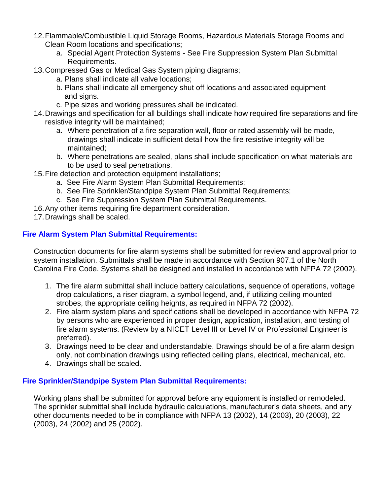- 12.Flammable/Combustible Liquid Storage Rooms, Hazardous Materials Storage Rooms and Clean Room locations and specifications;
	- a. Special Agent Protection Systems See Fire Suppression System Plan Submittal Requirements.
- 13.Compressed Gas or Medical Gas System piping diagrams;
	- a. Plans shall indicate all valve locations;
	- b. Plans shall indicate all emergency shut off locations and associated equipment and signs.
	- c. Pipe sizes and working pressures shall be indicated.
- 14.Drawings and specification for all buildings shall indicate how required fire separations and fire resistive integrity will be maintained;
	- a. Where penetration of a fire separation wall, floor or rated assembly will be made, drawings shall indicate in sufficient detail how the fire resistive integrity will be maintained;
	- b. Where penetrations are sealed, plans shall include specification on what materials are to be used to seal penetrations.
- 15.Fire detection and protection equipment installations;
	- a. See Fire Alarm System Plan Submittal Requirements;
	- b. See Fire Sprinkler/Standpipe System Plan Submittal Requirements;
	- c. See Fire Suppression System Plan Submittal Requirements.
- 16.Any other items requiring fire department consideration.
- 17.Drawings shall be scaled.

# **Fire Alarm System Plan Submittal Requirements:**

Construction documents for fire alarm systems shall be submitted for review and approval prior to system installation. Submittals shall be made in accordance with Section 907.1 of the North Carolina Fire Code. Systems shall be designed and installed in accordance with NFPA 72 (2002).

- 1. The fire alarm submittal shall include battery calculations, sequence of operations, voltage drop calculations, a riser diagram, a symbol legend, and, if utilizing ceiling mounted strobes, the appropriate ceiling heights, as required in NFPA 72 (2002).
- 2. Fire alarm system plans and specifications shall be developed in accordance with NFPA 72 by persons who are experienced in proper design, application, installation, and testing of fire alarm systems. (Review by a NICET Level III or Level IV or Professional Engineer is preferred).
- 3. Drawings need to be clear and understandable. Drawings should be of a fire alarm design only, not combination drawings using reflected ceiling plans, electrical, mechanical, etc.
- 4. Drawings shall be scaled.

# **Fire Sprinkler/Standpipe System Plan Submittal Requirements:**

Working plans shall be submitted for approval before any equipment is installed or remodeled. The sprinkler submittal shall include hydraulic calculations, manufacturer's data sheets, and any other documents needed to be in compliance with NFPA 13 (2002), 14 (2003), 20 (2003), 22 (2003), 24 (2002) and 25 (2002).